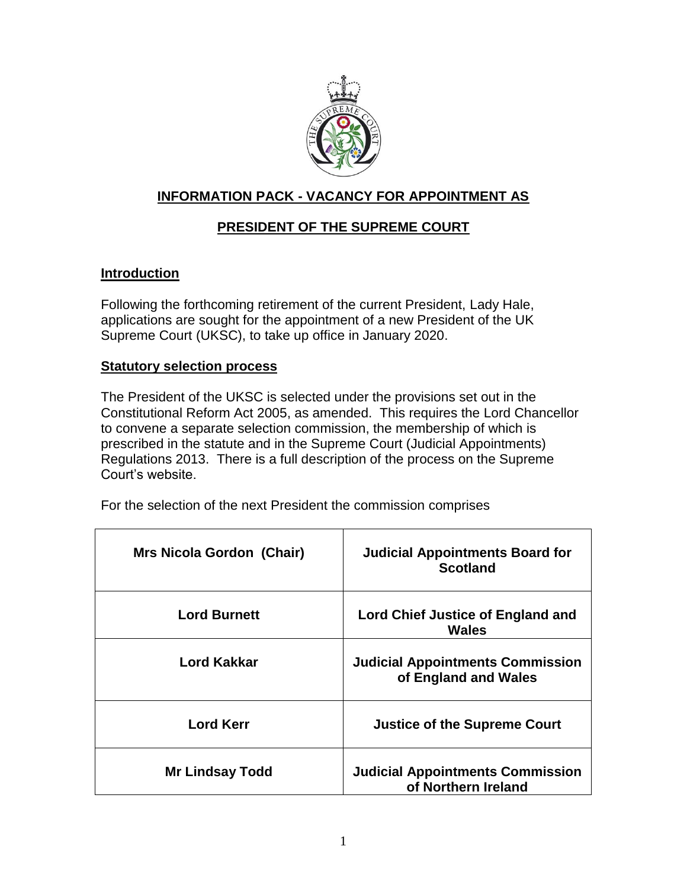

## **INFORMATION PACK - VACANCY FOR APPOINTMENT AS**

# **PRESIDENT OF THE SUPREME COURT**

### **Introduction**

Following the forthcoming retirement of the current President, Lady Hale, applications are sought for the appointment of a new President of the UK Supreme Court (UKSC), to take up office in January 2020.

### **Statutory selection process**

The President of the UKSC is selected under the provisions set out in the Constitutional Reform Act 2005, as amended. This requires the Lord Chancellor to convene a separate selection commission, the membership of which is prescribed in the statute and in the Supreme Court (Judicial Appointments) Regulations 2013. There is a full description of the process on the Supreme Court's website.

|  | For the selection of the next President the commission comprises |  |
|--|------------------------------------------------------------------|--|
|  |                                                                  |  |

| Mrs Nicola Gordon (Chair) | <b>Judicial Appointments Board for</b><br><b>Scotland</b>       |
|---------------------------|-----------------------------------------------------------------|
| <b>Lord Burnett</b>       | <b>Lord Chief Justice of England and</b><br>Wales               |
| <b>Lord Kakkar</b>        | <b>Judicial Appointments Commission</b><br>of England and Wales |
| <b>Lord Kerr</b>          | <b>Justice of the Supreme Court</b>                             |
| <b>Mr Lindsay Todd</b>    | <b>Judicial Appointments Commission</b><br>of Northern Ireland  |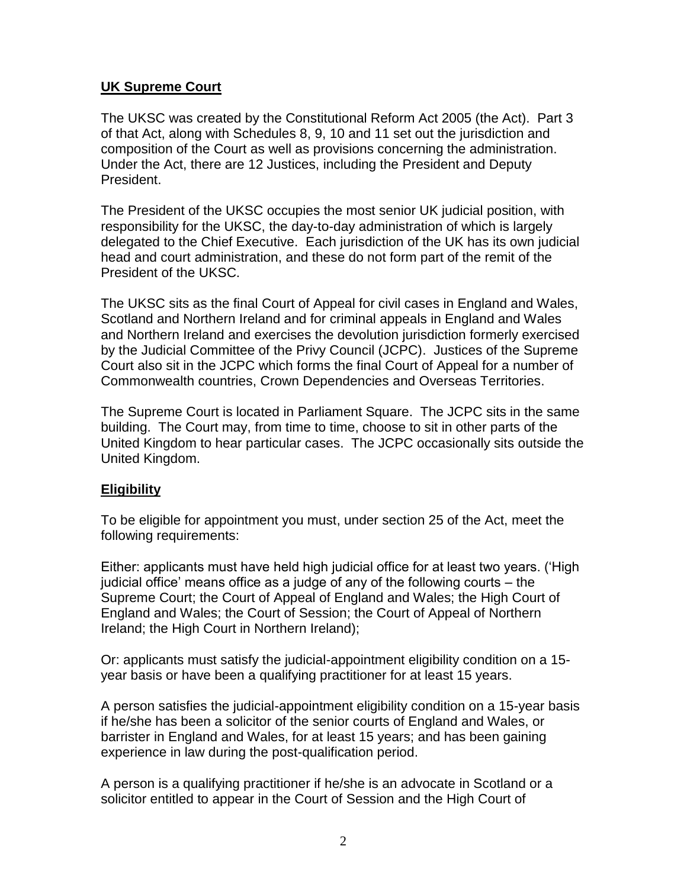### **UK Supreme Court**

The UKSC was created by the Constitutional Reform Act 2005 (the Act). Part 3 of that Act, along with Schedules 8, 9, 10 and 11 set out the jurisdiction and composition of the Court as well as provisions concerning the administration. Under the Act, there are 12 Justices, including the President and Deputy President.

The President of the UKSC occupies the most senior UK judicial position, with responsibility for the UKSC, the day-to-day administration of which is largely delegated to the Chief Executive. Each jurisdiction of the UK has its own judicial head and court administration, and these do not form part of the remit of the President of the UKSC.

The UKSC sits as the final Court of Appeal for civil cases in England and Wales, Scotland and Northern Ireland and for criminal appeals in England and Wales and Northern Ireland and exercises the devolution jurisdiction formerly exercised by the Judicial Committee of the Privy Council (JCPC). Justices of the Supreme Court also sit in the JCPC which forms the final Court of Appeal for a number of Commonwealth countries, Crown Dependencies and Overseas Territories.

The Supreme Court is located in Parliament Square. The JCPC sits in the same building. The Court may, from time to time, choose to sit in other parts of the United Kingdom to hear particular cases. The JCPC occasionally sits outside the United Kingdom.

### **Eligibility**

To be eligible for appointment you must, under section 25 of the Act, meet the following requirements:

Either: applicants must have held high judicial office for at least two years. ('High judicial office' means office as a judge of any of the following courts – the Supreme Court; the Court of Appeal of England and Wales; the High Court of England and Wales; the Court of Session; the Court of Appeal of Northern Ireland; the High Court in Northern Ireland);

Or: applicants must satisfy the judicial-appointment eligibility condition on a 15 year basis or have been a qualifying practitioner for at least 15 years.

A person satisfies the judicial-appointment eligibility condition on a 15-year basis if he/she has been a solicitor of the senior courts of England and Wales, or barrister in England and Wales, for at least 15 years; and has been gaining experience in law during the post-qualification period.

A person is a qualifying practitioner if he/she is an advocate in Scotland or a solicitor entitled to appear in the Court of Session and the High Court of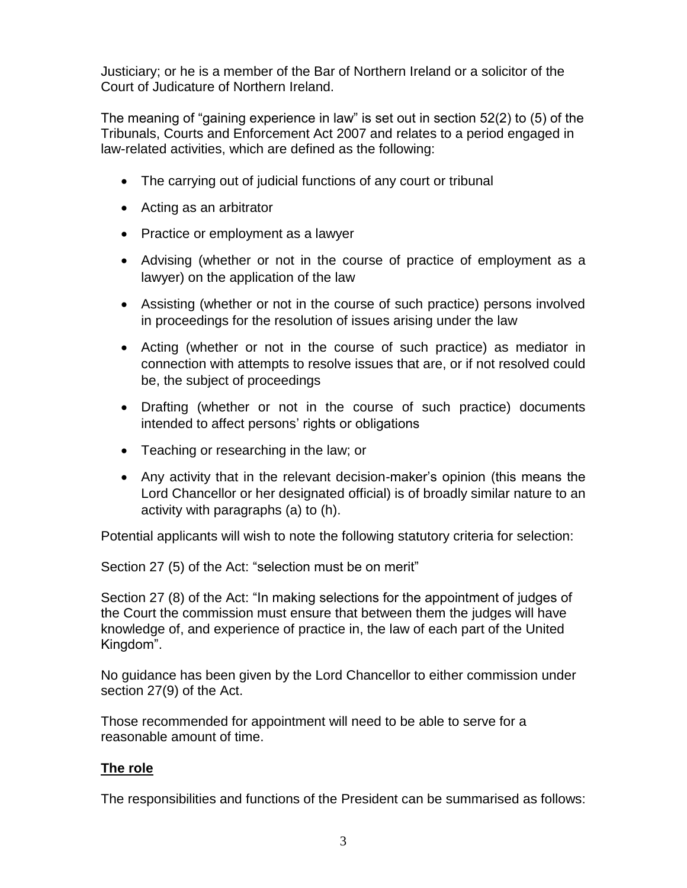Justiciary; or he is a member of the Bar of Northern Ireland or a solicitor of the Court of Judicature of Northern Ireland.

The meaning of "gaining experience in law" is set out in section 52(2) to (5) of the Tribunals, Courts and Enforcement Act 2007 and relates to a period engaged in law-related activities, which are defined as the following:

- The carrying out of judicial functions of any court or tribunal
- Acting as an arbitrator
- Practice or employment as a lawyer
- Advising (whether or not in the course of practice of employment as a lawyer) on the application of the law
- Assisting (whether or not in the course of such practice) persons involved in proceedings for the resolution of issues arising under the law
- Acting (whether or not in the course of such practice) as mediator in connection with attempts to resolve issues that are, or if not resolved could be, the subject of proceedings
- Drafting (whether or not in the course of such practice) documents intended to affect persons' rights or obligations
- Teaching or researching in the law; or
- Any activity that in the relevant decision-maker's opinion (this means the Lord Chancellor or her designated official) is of broadly similar nature to an activity with paragraphs (a) to (h).

Potential applicants will wish to note the following statutory criteria for selection:

Section 27 (5) of the Act: "selection must be on merit"

Section 27 (8) of the Act: "In making selections for the appointment of judges of the Court the commission must ensure that between them the judges will have knowledge of, and experience of practice in, the law of each part of the United Kingdom".

No guidance has been given by the Lord Chancellor to either commission under section 27(9) of the Act.

Those recommended for appointment will need to be able to serve for a reasonable amount of time.

### **The role**

The responsibilities and functions of the President can be summarised as follows: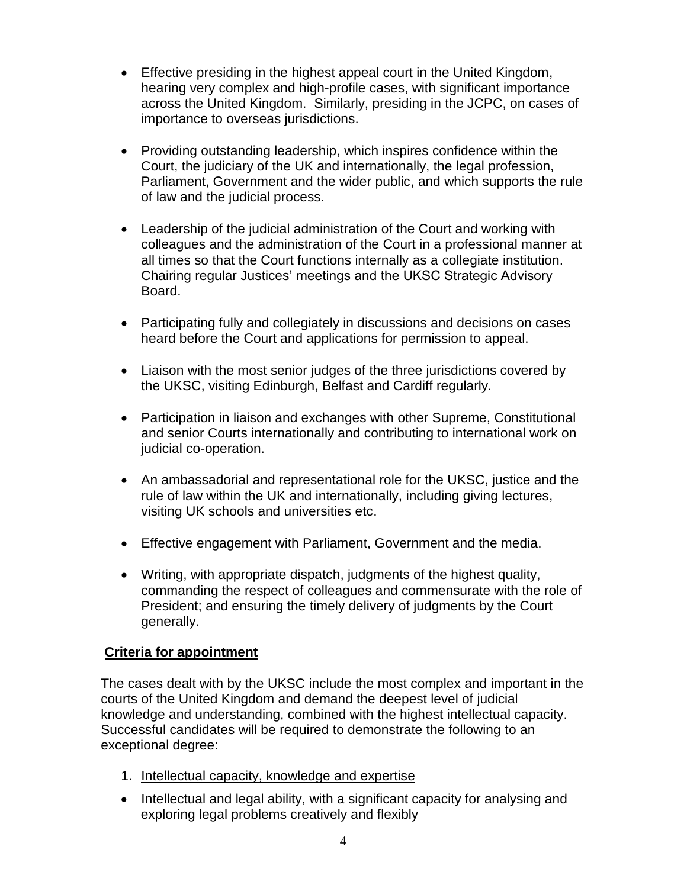- Effective presiding in the highest appeal court in the United Kingdom, hearing very complex and high-profile cases, with significant importance across the United Kingdom. Similarly, presiding in the JCPC, on cases of importance to overseas jurisdictions.
- Providing outstanding leadership, which inspires confidence within the Court, the judiciary of the UK and internationally, the legal profession, Parliament, Government and the wider public, and which supports the rule of law and the judicial process.
- Leadership of the judicial administration of the Court and working with colleagues and the administration of the Court in a professional manner at all times so that the Court functions internally as a collegiate institution. Chairing regular Justices' meetings and the UKSC Strategic Advisory Board.
- Participating fully and collegiately in discussions and decisions on cases heard before the Court and applications for permission to appeal.
- Liaison with the most senior judges of the three jurisdictions covered by the UKSC, visiting Edinburgh, Belfast and Cardiff regularly.
- Participation in liaison and exchanges with other Supreme, Constitutional and senior Courts internationally and contributing to international work on judicial co-operation.
- An ambassadorial and representational role for the UKSC, justice and the rule of law within the UK and internationally, including giving lectures, visiting UK schools and universities etc.
- Effective engagement with Parliament, Government and the media.
- Writing, with appropriate dispatch, judgments of the highest quality, commanding the respect of colleagues and commensurate with the role of President; and ensuring the timely delivery of judgments by the Court generally.

### **Criteria for appointment**

The cases dealt with by the UKSC include the most complex and important in the courts of the United Kingdom and demand the deepest level of judicial knowledge and understanding, combined with the highest intellectual capacity. Successful candidates will be required to demonstrate the following to an exceptional degree:

- 1. Intellectual capacity, knowledge and expertise
- Intellectual and legal ability, with a significant capacity for analysing and exploring legal problems creatively and flexibly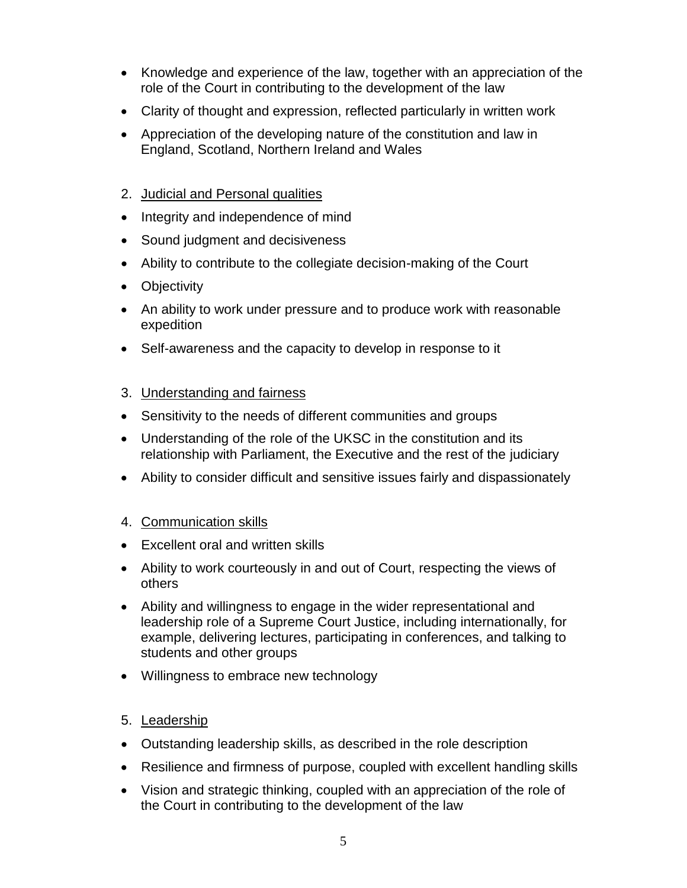- Knowledge and experience of the law, together with an appreciation of the role of the Court in contributing to the development of the law
- Clarity of thought and expression, reflected particularly in written work
- Appreciation of the developing nature of the constitution and law in England, Scotland, Northern Ireland and Wales
- 2. Judicial and Personal qualities
- Integrity and independence of mind
- Sound judgment and decisiveness
- Ability to contribute to the collegiate decision-making of the Court
- Objectivity
- An ability to work under pressure and to produce work with reasonable expedition
- Self-awareness and the capacity to develop in response to it

## 3. Understanding and fairness

- Sensitivity to the needs of different communities and groups
- Understanding of the role of the UKSC in the constitution and its relationship with Parliament, the Executive and the rest of the judiciary
- Ability to consider difficult and sensitive issues fairly and dispassionately

## 4. Communication skills

- Excellent oral and written skills
- Ability to work courteously in and out of Court, respecting the views of others
- Ability and willingness to engage in the wider representational and leadership role of a Supreme Court Justice, including internationally, for example, delivering lectures, participating in conferences, and talking to students and other groups
- Willingness to embrace new technology

## 5. Leadership

- Outstanding leadership skills, as described in the role description
- Resilience and firmness of purpose, coupled with excellent handling skills
- Vision and strategic thinking, coupled with an appreciation of the role of the Court in contributing to the development of the law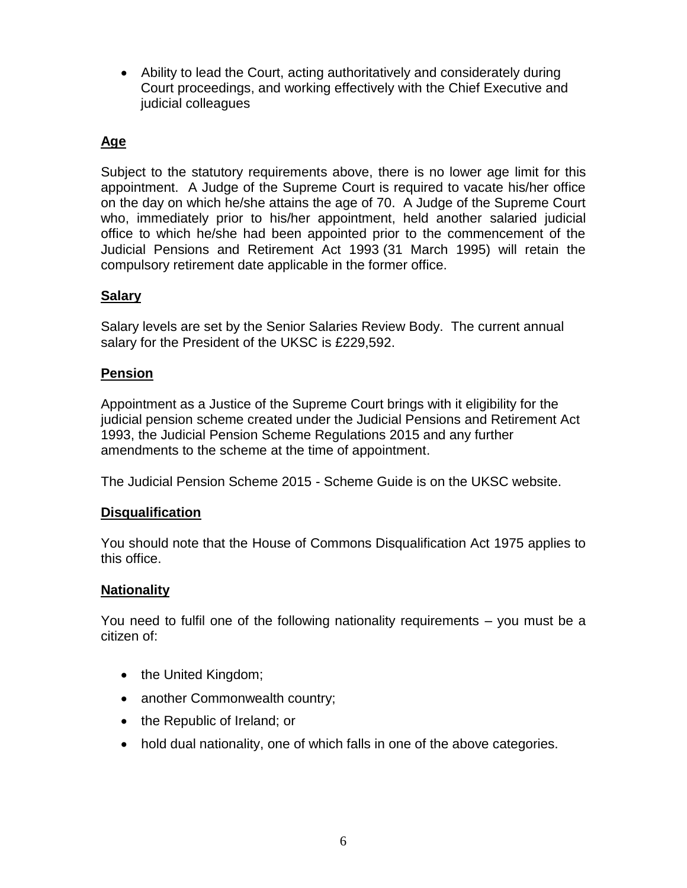• Ability to lead the Court, acting authoritatively and considerately during Court proceedings, and working effectively with the Chief Executive and judicial colleagues

## **Age**

Subject to the statutory requirements above, there is no lower age limit for this appointment. A Judge of the Supreme Court is required to vacate his/her office on the day on which he/she attains the age of 70. A Judge of the Supreme Court who, immediately prior to his/her appointment, held another salaried judicial office to which he/she had been appointed prior to the commencement of the Judicial Pensions and Retirement Act 1993 (31 March 1995) will retain the compulsory retirement date applicable in the former office.

## **Salary**

Salary levels are set by the Senior Salaries Review Body. The current annual salary for the President of the UKSC is £229,592.

### **Pension**

Appointment as a Justice of the Supreme Court brings with it eligibility for the judicial pension scheme created under the Judicial Pensions and Retirement Act 1993, the Judicial Pension Scheme Regulations 2015 and any further amendments to the scheme at the time of appointment.

The Judicial Pension Scheme 2015 - Scheme Guide is on the UKSC website.

## **Disqualification**

You should note that the House of Commons Disqualification Act 1975 applies to this office.

### **Nationality**

You need to fulfil one of the following nationality requirements – you must be a citizen of:

- the United Kingdom;
- another Commonwealth country;
- the Republic of Ireland; or
- hold dual nationality, one of which falls in one of the above categories.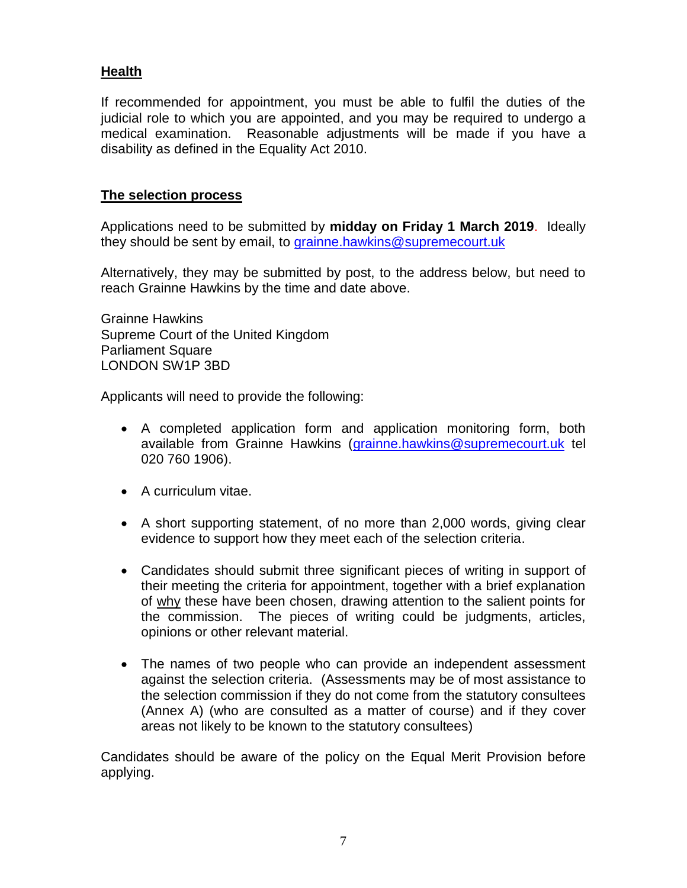### **Health**

If recommended for appointment, you must be able to fulfil the duties of the judicial role to which you are appointed, and you may be required to undergo a medical examination. Reasonable adjustments will be made if you have a disability as defined in the Equality Act 2010.

#### **The selection process**

Applications need to be submitted by **midday on Friday 1 March 2019**. Ideally they should be sent by email, to [grainne.hawkins@supremecourt.uk](mailto:grainne.hawkins@supremecourt.uk) 

Alternatively, they may be submitted by post, to the address below, but need to reach Grainne Hawkins by the time and date above.

Grainne Hawkins Supreme Court of the United Kingdom Parliament Square LONDON SW1P 3BD

Applicants will need to provide the following:

- A completed application form and application monitoring form, both available from Grainne Hawkins [\(grainne.hawkins@supremecourt.uk](mailto:grainne.hawkins@supremecourt.uk) tel 020 760 1906).
- A curriculum vitae.
- A short supporting statement, of no more than 2,000 words, giving clear evidence to support how they meet each of the selection criteria.
- Candidates should submit three significant pieces of writing in support of their meeting the criteria for appointment, together with a brief explanation of why these have been chosen, drawing attention to the salient points for the commission. The pieces of writing could be judgments, articles, opinions or other relevant material.
- The names of two people who can provide an independent assessment against the selection criteria. (Assessments may be of most assistance to the selection commission if they do not come from the statutory consultees (Annex A) (who are consulted as a matter of course) and if they cover areas not likely to be known to the statutory consultees)

Candidates should be aware of the policy on the Equal Merit Provision before applying.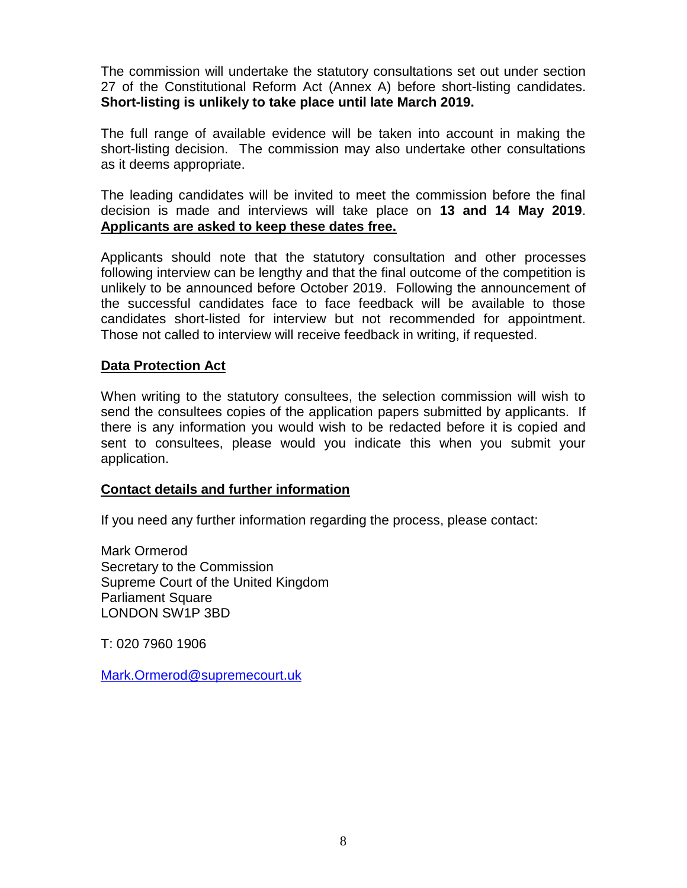The commission will undertake the statutory consultations set out under section 27 of the Constitutional Reform Act (Annex A) before short-listing candidates. **Short-listing is unlikely to take place until late March 2019.** 

The full range of available evidence will be taken into account in making the short-listing decision. The commission may also undertake other consultations as it deems appropriate.

The leading candidates will be invited to meet the commission before the final decision is made and interviews will take place on **13 and 14 May 2019**. **Applicants are asked to keep these dates free.**

Applicants should note that the statutory consultation and other processes following interview can be lengthy and that the final outcome of the competition is unlikely to be announced before October 2019. Following the announcement of the successful candidates face to face feedback will be available to those candidates short-listed for interview but not recommended for appointment. Those not called to interview will receive feedback in writing, if requested.

### **Data Protection Act**

When writing to the statutory consultees, the selection commission will wish to send the consultees copies of the application papers submitted by applicants. If there is any information you would wish to be redacted before it is copied and sent to consultees, please would you indicate this when you submit your application.

### **Contact details and further information**

If you need any further information regarding the process, please contact:

Mark Ormerod Secretary to the Commission Supreme Court of the United Kingdom Parliament Square LONDON SW1P 3BD

T: 020 7960 1906

[Mark.Ormerod@supremecourt.uk](mailto:Mark.Ormerod@supremecourt.uk)